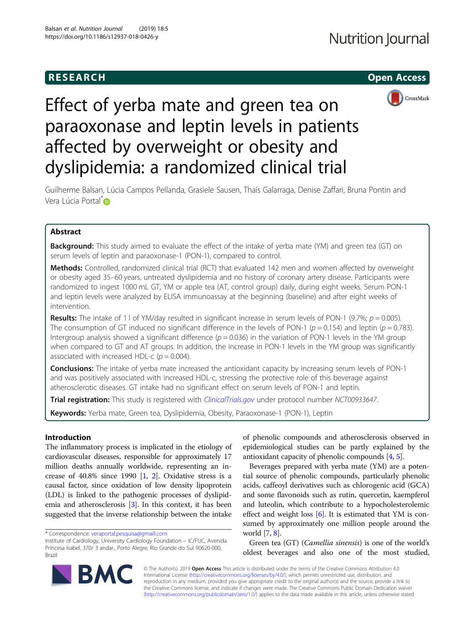## **RESEARCH CHE Open Access**



# Effect of yerba mate and green tea on paraoxonase and leptin levels in patients affected by overweight or obesity and dyslipidemia: a randomized clinical trial

Guilherme Balsan, Lúcia Campos Pellanda, Grasiele Sausen, Thaís Galarraga, Denise Zaffari, Bruna Pontin and Vera Lúcia Portal<sup>[\\*](http://orcid.org/0000-0001-8612-3543)</sup>D

### Abstract

**Background:** This study aimed to evaluate the effect of the intake of yerba mate (YM) and green tea (GT) on serum levels of leptin and paraoxonase-1 (PON-1), compared to control.

Methods: Controlled, randomized clinical trial (RCT) that evaluated 142 men and women affected by overweight or obesity aged 35–60 years, untreated dyslipidemia and no history of coronary artery disease. Participants were randomized to ingest 1000 mL GT, YM or apple tea (AT, control group) daily, during eight weeks. Serum PON-1 and leptin levels were analyzed by ELISA immunoassay at the beginning (baseline) and after eight weeks of intervention.

**Results:** The intake of 1 l of YM/day resulted in significant increase in serum levels of PON-1 (9.7%;  $p = 0.005$ ). The consumption of GT induced no significant difference in the levels of PON-1 ( $p = 0.154$ ) and leptin ( $p = 0.783$ ). Intergroup analysis showed a significant difference ( $p = 0.036$ ) in the variation of PON-1 levels in the YM group when compared to GT and AT groups. In addition, the increase in PON-1 levels in the YM group was significantly associated with increased HDL-c ( $p = 0.004$ ).

Conclusions: The intake of yerba mate increased the antioxidant capacity by increasing serum levels of PON-1 and was positively associated with increased HDL-c, stressing the protective role of this beverage against atherosclerotic diseases. GT intake had no significant effect on serum levels of PON-1 and leptin.

Trial registration: This study is registered with *[ClinicalTrials.gov](http://clinicaltrials.gov)* under protocol number NCT00933647.

Keywords: Yerba mate, Green tea, Dyslipidemia, Obesity, Paraoxonase-1 (PON-1), Leptin

#### Introduction

The inflammatory process is implicated in the etiology of cardiovascular diseases, responsible for approximately 17 million deaths annually worldwide, representing an increase of 40.8% since 1990 [[1,](#page-8-0) [2](#page-8-0)]. Oxidative stress is a causal factor, since oxidation of low density lipoprotein (LDL) is linked to the pathogenic processes of dyslipidemia and atherosclerosis [\[3\]](#page-8-0). In this context, it has been suggested that the inverse relationship between the intake



Beverages prepared with yerba mate (YM) are a potential source of phenolic compounds, particularly phenolic acids, caffeoyl derivatives such as chlorogenic acid (GCA) and some flavonoids such as rutin, quercetin, kaempferol and luteolin, which contribute to a hypocholesterolemic effect and weight loss  $[6]$ . It is estimated that YM is consumed by approximately one million people around the world [\[7](#page-8-0), [8\]](#page-8-0).

Green tea (GT) (Camellia sinensis) is one of the world'<sup>s</sup> oldest beverages and also one of the most studied,

© The Author(s). 2019 **Open Access** This article is distributed under the terms of the Creative Commons Attribution 4.0 International License [\(http://creativecommons.org/licenses/by/4.0/](http://creativecommons.org/licenses/by/4.0/)), which permits unrestricted use, distribution, and reproduction in any medium, provided you give appropriate credit to the original author(s) and the source, provide a link to the Creative Commons license, and indicate if changes were made. The Creative Commons Public Domain Dedication waiver [\(http://creativecommons.org/publicdomain/zero/1.0/](http://creativecommons.org/publicdomain/zero/1.0/)) applies to the data made available in this article, unless otherwise stated.



<sup>\*</sup> Correspondence: [veraportal.pesquisa@gmaill.com](mailto:veraportal.pesquisa@gmaill.com)

Institute of Cardiology, University Cardiology Foundation – IC/FUC, Avenida Princesa Isabel, 370/ 3 andar., Porto Alegre, Rio Grande do Sul 90620-000, Brazil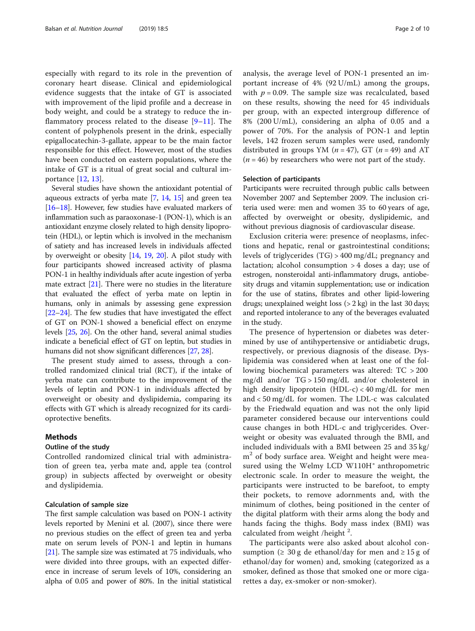especially with regard to its role in the prevention of coronary heart disease. Clinical and epidemiological evidence suggests that the intake of GT is associated with improvement of the lipid profile and a decrease in body weight, and could be a strategy to reduce the inflammatory process related to the disease  $[9-11]$  $[9-11]$  $[9-11]$  $[9-11]$ . The content of polyphenols present in the drink, especially epigallocatechin-3-gallate, appear to be the main factor responsible for this effect. However, most of the studies have been conducted on eastern populations, where the intake of GT is a ritual of great social and cultural importance [\[12](#page-8-0), [13\]](#page-8-0).

Several studies have shown the antioxidant potential of aqueous extracts of yerba mate [[7,](#page-8-0) [14](#page-8-0), [15\]](#page-8-0) and green tea [[16](#page-8-0)–[18\]](#page-8-0). However, few studies have evaluated markers of inflammation such as paraoxonase-1 (PON-1), which is an antioxidant enzyme closely related to high density lipoprotein (HDL), or leptin which is involved in the mechanism of satiety and has increased levels in individuals affected by overweight or obesity [\[14,](#page-8-0) [19](#page-8-0), [20\]](#page-8-0). A pilot study with four participants showed increased activity of plasma PON-1 in healthy individuals after acute ingestion of yerba mate extract [[21\]](#page-8-0). There were no studies in the literature that evaluated the effect of yerba mate on leptin in humans, only in animals by assessing gene expression [[22](#page-8-0)–[24\]](#page-8-0). The few studies that have investigated the effect of GT on PON-1 showed a beneficial effect on enzyme levels [\[25,](#page-8-0) [26\]](#page-8-0). On the other hand, several animal studies indicate a beneficial effect of GT on leptin, but studies in humans did not show significant differences [\[27,](#page-8-0) [28](#page-8-0)].

The present study aimed to assess, through a controlled randomized clinical trial (RCT), if the intake of yerba mate can contribute to the improvement of the levels of leptin and PON-1 in individuals affected by overweight or obesity and dyslipidemia, comparing its effects with GT which is already recognized for its cardioprotective benefits.

#### Methods

#### Outline of the study

Controlled randomized clinical trial with administration of green tea, yerba mate and, apple tea (control group) in subjects affected by overweight or obesity and dyslipidemia.

#### Calculation of sample size

The first sample calculation was based on PON-1 activity levels reported by Menini et al. (2007), since there were no previous studies on the effect of green tea and yerba mate on serum levels of PON-1 and leptin in humans [[21](#page-8-0)]. The sample size was estimated at 75 individuals, who were divided into three groups, with an expected difference in increase of serum levels of 10%, considering an alpha of 0.05 and power of 80%. In the initial statistical analysis, the average level of PON-1 presented an important increase of 4% (92 U/mL) among the groups, with  $p = 0.09$ . The sample size was recalculated, based on these results, showing the need for 45 individuals per group, with an expected intergroup difference of 8% (200 U/mL), considering an alpha of 0.05 and a power of 70%. For the analysis of PON-1 and leptin levels, 142 frozen serum samples were used, randomly distributed in groups YM ( $n = 47$ ), GT ( $n = 49$ ) and AT  $(n = 46)$  by researchers who were not part of the study.

#### Selection of participants

Participants were recruited through public calls between November 2007 and September 2009. The inclusion criteria used were: men and women 35 to 60 years of age, affected by overweight or obesity, dyslipidemic, and without previous diagnosis of cardiovascular disease.

Exclusion criteria were: presence of neoplasms, infections and hepatic, renal or gastrointestinal conditions; levels of triglycerides (TG) > 400 mg/dL; pregnancy and lactation; alcohol consumption > 4 doses a day; use of estrogen, nonsteroidal anti-inflammatory drugs, antiobesity drugs and vitamin supplementation; use or indication for the use of statins, fibrates and other lipid-lowering drugs; unexplained weight loss (> 2 kg) in the last 30 days; and reported intolerance to any of the beverages evaluated in the study.

The presence of hypertension or diabetes was determined by use of antihypertensive or antidiabetic drugs, respectively, or previous diagnosis of the disease. Dyslipidemia was considered when at least one of the following biochemical parameters was altered: TC > 200 mg/dl and/or TG > 150 mg/dL and/or cholesterol in high density lipoprotein (HDL-c) < 40 mg/dL for men and < 50 mg/dL for women. The LDL-c was calculated by the Friedwald equation and was not the only lipid parameter considered because our interventions could cause changes in both HDL-c and triglycerides. Overweight or obesity was evaluated through the BMI, and included individuals with a BMI between 25 and 35 kg/  $m<sup>2</sup>$  of body surface area. Weight and height were measured using the Welmy LCD W110H<sup>®</sup> anthropometric electronic scale. In order to measure the weight, the participants were instructed to be barefoot, to empty their pockets, to remove adornments and, with the minimum of clothes, being positioned in the center of the digital platform with their arms along the body and hands facing the thighs. Body mass index (BMI) was calculated from weight /height<sup>2</sup>.

The participants were also asked about alcohol consumption ( $\geq 30$  g de ethanol/day for men and  $\geq 15$  g of ethanol/day for women) and, smoking (categorized as a smoker, defined as those that smoked one or more cigarettes a day, ex-smoker or non-smoker).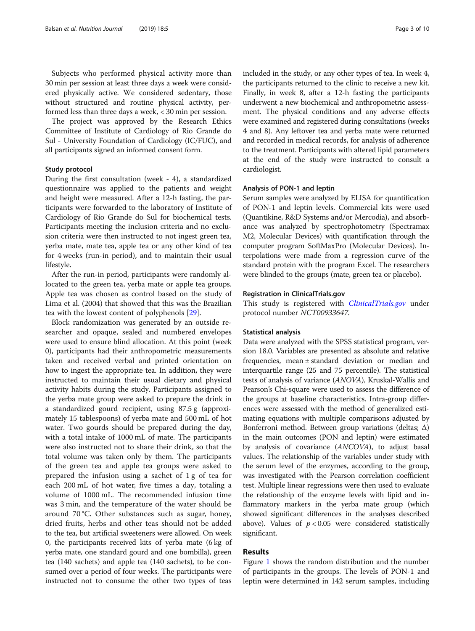Subjects who performed physical activity more than 30 min per session at least three days a week were considered physically active. We considered sedentary, those without structured and routine physical activity, performed less than three days a week, < 30 min per session.

The project was approved by the Research Ethics Committee of Institute of Cardiology of Rio Grande do Sul - University Foundation of Cardiology (IC/FUC), and all participants signed an informed consent form.

#### Study protocol

During the first consultation (week - 4), a standardized questionnaire was applied to the patients and weight and height were measured. After a 12-h fasting, the participants were forwarded to the laboratory of Institute of Cardiology of Rio Grande do Sul for biochemical tests. Participants meeting the inclusion criteria and no exclusion criteria were then instructed to not ingest green tea, yerba mate, mate tea, apple tea or any other kind of tea for 4 weeks (run-in period), and to maintain their usual lifestyle.

After the run-in period, participants were randomly allocated to the green tea, yerba mate or apple tea groups. Apple tea was chosen as control based on the study of Lima et al. (2004) that showed that this was the Brazilian tea with the lowest content of polyphenols [\[29](#page-8-0)].

Block randomization was generated by an outside researcher and opaque, sealed and numbered envelopes were used to ensure blind allocation. At this point (week 0), participants had their anthropometric measurements taken and received verbal and printed orientation on how to ingest the appropriate tea. In addition, they were instructed to maintain their usual dietary and physical activity habits during the study. Participants assigned to the yerba mate group were asked to prepare the drink in a standardized gourd recipient, using 87.5 g (approximately 15 tablespoons) of yerba mate and 500 mL of hot water. Two gourds should be prepared during the day, with a total intake of 1000 mL of mate. The participants were also instructed not to share their drink, so that the total volume was taken only by them. The participants of the green tea and apple tea groups were asked to prepared the infusion using a sachet of 1 g of tea for each 200 mL of hot water, five times a day, totaling a volume of 1000 mL. The recommended infusion time was 3 min, and the temperature of the water should be around 70 °C. Other substances such as sugar, honey, dried fruits, herbs and other teas should not be added to the tea, but artificial sweeteners were allowed. On week 0, the participants received kits of yerba mate (6 kg of yerba mate, one standard gourd and one bombilla), green tea (140 sachets) and apple tea (140 sachets), to be consumed over a period of four weeks. The participants were instructed not to consume the other two types of teas included in the study, or any other types of tea. In week 4, the participants returned to the clinic to receive a new kit. Finally, in week 8, after a 12-h fasting the participants underwent a new biochemical and anthropometric assessment. The physical conditions and any adverse effects were examined and registered during consultations (weeks 4 and 8). Any leftover tea and yerba mate were returned and recorded in medical records, for analysis of adherence to the treatment. Participants with altered lipid parameters at the end of the study were instructed to consult a cardiologist.

#### Analysis of PON-1 and leptin

Serum samples were analyzed by ELISA for quantification of PON-1 and leptin levels. Commercial kits were used (Quantikine, R&D Systems and/or Mercodia), and absorbance was analyzed by spectrophotometry (Spectramax M2, Molecular Devices) with quantification through the computer program SoftMaxPro (Molecular Devices). Interpolations were made from a regression curve of the standard protein with the program Excel. The researchers were blinded to the groups (mate, green tea or placebo).

#### Registration in ClinicalTrials.gov

This study is registered with *[ClinicalTrials.gov](http://clinicaltrials.gov)* under protocol number NCT00933647.

#### Statistical analysis

Data were analyzed with the SPSS statistical program, version 18.0. Variables are presented as absolute and relative frequencies, mean ± standard deviation or median and interquartile range (25 and 75 percentile). The statistical tests of analysis of variance (ANOVA), Kruskal-Wallis and Pearson's Chi-square were used to assess the difference of the groups at baseline characteristics. Intra-group differences were assessed with the method of generalized estimating equations with multiple comparisons adjusted by Bonferroni method. Between group variations (deltas;  $\Delta$ ) in the main outcomes (PON and leptin) were estimated by analysis of covariance (ANCOVA), to adjust basal values. The relationship of the variables under study with the serum level of the enzymes, according to the group, was investigated with the Pearson correlation coefficient test. Multiple linear regressions were then used to evaluate the relationship of the enzyme levels with lipid and inflammatory markers in the yerba mate group (which showed significant differences in the analyses described above). Values of  $p < 0.05$  were considered statistically significant.

#### Results

Figure [1](#page-3-0) shows the random distribution and the number of participants in the groups. The levels of PON-1 and leptin were determined in 142 serum samples, including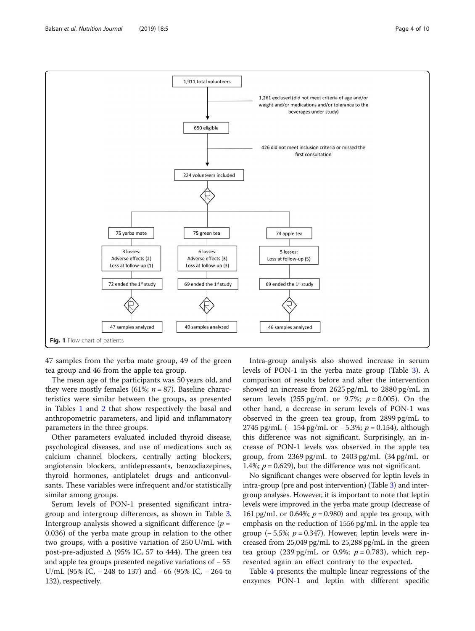47 samples from the yerba mate group, 49 of the green tea group and 46 from the apple tea group.

The mean age of the participants was 50 years old, and they were mostly females (61%;  $n = 87$ ). Baseline characteristics were similar between the groups, as presented in Tables [1](#page-4-0) and [2](#page-4-0) that show respectively the basal and anthropometric parameters, and lipid and inflammatory parameters in the three groups.

Other parameters evaluated included thyroid disease, psychological diseases, and use of medications such as calcium channel blockers, centrally acting blockers, angiotensin blockers, antidepressants, benzodiazepines, thyroid hormones, antiplatelet drugs and anticonvulsants. These variables were infrequent and/or statistically similar among groups.

Serum levels of PON-1 presented significant intragroup and intergroup differences, as shown in Table [3](#page-5-0). Intergroup analysis showed a significant difference ( $p =$ 0.036) of the yerba mate group in relation to the other two groups, with a positive variation of 250 U/mL with post-pre-adjusted  $\Delta$  (95% IC, 57 to 444). The green tea and apple tea groups presented negative variations of − 55 U/mL (95% IC, − 248 to 137) and − 66 (95% IC, − 264 to 132), respectively.

Intra-group analysis also showed increase in serum levels of PON-1 in the yerba mate group (Table [3\)](#page-5-0). A comparison of results before and after the intervention showed an increase from 2625 pg/mL to 2880 pg/mL in serum levels  $(255 \text{ pg/mL}$  or 9.7%;  $p = 0.005$ ). On the other hand, a decrease in serum levels of PON-1 was observed in the green tea group, from 2899 pg/mL to 2745 pg/mL  $(-154 \text{ pg/mL}$  or  $-5.3\%$ ;  $p = 0.154$ ), although this difference was not significant. Surprisingly, an increase of PON-1 levels was observed in the apple tea group, from 2369 pg/mL to 2403 pg/mL (34 pg/mL or 1.4%;  $p = 0.629$ ), but the difference was not significant.

No significant changes were observed for leptin levels in intra-group (pre and post intervention) (Table [3\)](#page-5-0) and intergroup analyses. However, it is important to note that leptin levels were improved in the yerba mate group (decrease of 161 pg/mL or 0.64%;  $p = 0.980$ ) and apple tea group, with emphasis on the reduction of 1556 pg/mL in the apple tea group ( $-5.5\%$ ;  $p = 0.347$ ). However, leptin levels were increased from 25,049 pg/mL to 25,288 pg/mL in the green tea group (239 pg/mL or 0,9%;  $p = 0.783$ ), which represented again an effect contrary to the expected.

Table [4](#page-6-0) presents the multiple linear regressions of the enzymes PON-1 and leptin with different specific

<span id="page-3-0"></span>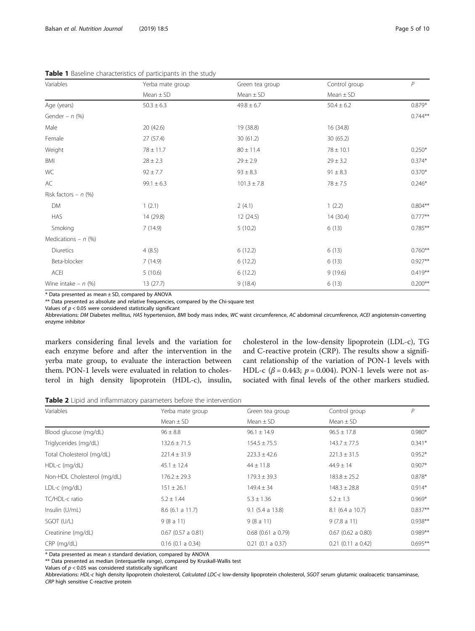#### <span id="page-4-0"></span>Table 1 Baseline characteristics of participants in the study

| Variables              | Yerba mate group | Green tea group | Control group  | $\overline{P}$ |
|------------------------|------------------|-----------------|----------------|----------------|
|                        | $Mean \pm SD$    | $Mean \pm SD$   | $Mean \pm SD$  |                |
| Age (years)            | $50.3 \pm 6.3$   | $49.8 \pm 6.7$  | $50.4 \pm 6.2$ | $0.879*$       |
| Gender – $n$ (%)       |                  |                 |                | $0.744**$      |
| Male                   | 20(42.6)         | 19 (38.8)       | 16 (34.8)      |                |
| Female                 | 27 (57.4)        | 30(61.2)        | 30 (65.2)      |                |
| Weight                 | $78 \pm 11.7$    | $80 \pm 11.4$   | $78 \pm 10.1$  | $0.250*$       |
| BMI                    | $28 \pm 2.3$     | $29 \pm 2.9$    | $29 \pm 3.2$   | $0.374*$       |
| WC                     | $92 \pm 7.7$     | $93 \pm 8.3$    | $91 \pm 8.3$   | $0.370*$       |
| AC                     | $99.1 \pm 6.3$   | $101.3 \pm 7.8$ | $78 \pm 7.5$   | $0.246*$       |
| Risk factors - $n$ (%) |                  |                 |                |                |
| DM                     | 1(2.1)           | 2(4.1)          | 1(2.2)         | $0.804**$      |
| <b>HAS</b>             | 14 (29.8)        | 12(24.5)        | 14 (30.4)      | $0.777**$      |
| Smoking                | 7(14.9)          | 5(10.2)         | 6(13)          | $0.785***$     |
| Medications - $n$ (%)  |                  |                 |                |                |
| Diuretics              | 4(8.5)           | 6(12.2)         | 6(13)          | $0.760**$      |
| Beta-blocker           | 7(14.9)          | 6(12.2)         | 6(13)          | $0.927**$      |
| ACEI                   | 5(10.6)          | 6(12.2)         | 9(19.6)        | $0.419**$      |
| Wine intake $- n$ (%)  | 13(27.7)         | 9(18.4)         | 6(13)          | $0.200**$      |

\* Data presented as mean ± SD, compared by ANOVA

\*\* Data presented as absolute and relative frequencies, compared by the Chi-square test

Values of  $p < 0.05$  were considered statistically significant

Abbreviations: DM Diabetes mellitus, HAS hypertension, BMI body mass index, WC waist circumference, AC abdominal circumference, ACEI angiotensin-converting enzyme inhibitor

markers considering final levels and the variation for each enzyme before and after the intervention in the yerba mate group, to evaluate the interaction between them. PON-1 levels were evaluated in relation to cholesterol in high density lipoprotein (HDL-c), insulin,

cholesterol in the low-density lipoprotein (LDL-c), TG and C-reactive protein (CRP). The results show a significant relationship of the variation of PON-1 levels with HDL-c (β = 0.443;  $p = 0.004$ ). PON-1 levels were not associated with final levels of the other markers studied.

Table 2 Lipid and inflammatory parameters before the intervention

| Variables                   | Yerba mate group     | Green tea group      | Control group        | P         |
|-----------------------------|----------------------|----------------------|----------------------|-----------|
|                             | Mean $\pm$ SD        | Mean $\pm$ SD        | Mean $\pm$ SD        |           |
| Blood glucose (mg/dL)       | $96 \pm 8.8$         | $96.1 \pm 14.9$      | $96.5 \pm 17.8$      | $0.980*$  |
| Triglycerides (mg/dL)       | $132.6 \pm 71.5$     | $154.5 \pm 75.5$     | $143.7 \pm 77.5$     | $0.341*$  |
| Total Cholesterol (mg/dL)   | $221.4 \pm 31.9$     | $223.3 \pm 42.6$     | $221.3 \pm 31.5$     | $0.952*$  |
| $HDL-c$ (mg/dL)             | $45.1 \pm 12.4$      | $44 \pm 11.8$        | $44.9 \pm 14$        | $0.907*$  |
| Non-HDL Cholesterol (mg/dL) | $176.2 \pm 29.3$     | $179.3 \pm 39.3$     | $183.8 \pm 25.2$     | $0.878*$  |
| $LDL-c$ (mg/dL)             | $151 \pm 26.1$       | $149.4 \pm 34$       | $148.3 \pm 28.8$     | $0.914*$  |
| TC/HDL-c ratio              | $5.2 \pm 1.44$       | $5.3 \pm 1.36$       | $5.2 \pm 1.3$        | $0.969*$  |
| Insulin (U/mL)              | 8.6(6.1 a 11.7)      | $9.1$ (5.4 a 13.8)   | $8.1$ (6.4 a 10.7)   | $0.837**$ |
| SGOT (U/L)                  | 9(8a11)              | 9(8a11)              | 9(7.8a11)            | $0.938**$ |
| Creatinine (mg/dL)          | $0.67$ (0.57 a 0.81) | $0.68$ (0.61 a 0.79) | $0.67$ (0.62 a 0.80) | $0.989**$ |
| $CRP$ (mg/dL)               | $0.16$ (0.1 a 0.34)  | $0.21$ (0.1 a 0.37)  | $0.21$ (0.11 a 0.42) | $0.695**$ |

\* Data presented as mean ± standard deviation, compared by ANOVA

\*\* Data presented as median (interquartile range), compared by Kruskall-Wallis test

Values of  $p < 0.05$  was considered statistically significant

Abbreviations: HDL-c high density lipoprotein cholesterol, Calculated LDC-c low-density lipoprotein cholesterol, SGOT serum glutamic oxaloacetic transaminase, CRP high sensitive C-reactive protein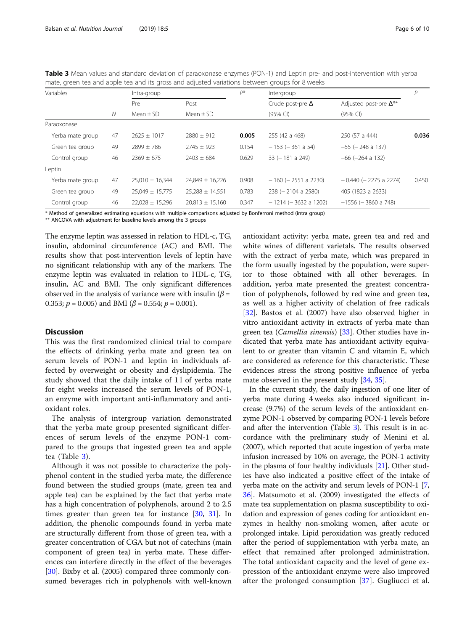<span id="page-5-0"></span>

| Table 3 Mean values and standard deviation of paraoxonase enzymes (PON-1) and Leptin pre- and post-intervention with yerba |  |
|----------------------------------------------------------------------------------------------------------------------------|--|
| mate, green tea and apple tea and its gross and adjusted variations between groups for 8 weeks                             |  |

| Variables        |    | Intra-group         |                     | $P^*$ | Intergroup                |                                 | P     |
|------------------|----|---------------------|---------------------|-------|---------------------------|---------------------------------|-------|
|                  |    | Pre                 | Post                |       | Crude post-pre $\Delta$   | Adjusted post-pre $\Delta^{**}$ |       |
|                  | N  | Mean $\pm$ SD       | Mean $\pm$ SD       |       | (95% CI)                  | (95% CI)                        |       |
| Paraoxonase      |    |                     |                     |       |                           |                                 |       |
| Yerba mate group | 47 | $2625 + 1017$       | $7880 + 912$        | 0.005 | 255 (42 a 468)            | 250 (57 a 444)                  | 0.036 |
| Green tea group  | 49 | $2899 \pm 786$      | $2745 \pm 923$      | 0.154 | $-153$ ( $-361$ a 54)     | $-55$ ( $-248$ a 137)           |       |
| Control group    | 46 | $2369 \pm 675$      | $2403 \pm 684$      | 0.629 | $33 (-181 a 249)$         | $-66$ ( $-264$ a 132)           |       |
| Leptin           |    |                     |                     |       |                           |                                 |       |
| Yerba mate group | 47 | $25,010 \pm 16,344$ | $24,849 \pm 16,226$ | 0.908 | $-160$ ( $-2551$ a 2230)  | $-0.440$ ( $-2275$ a 2274)      | 0.450 |
| Green tea group  | 49 | $25,049 \pm 15,775$ | $25.288 \pm 14.551$ | 0.783 | $238 (-2104 a 2580)$      | 405 (1823 a 2633)               |       |
| Control group    | 46 | $22.028 \pm 15.296$ | $20.813 \pm 15.160$ | 0.347 | $-1214$ ( $-3632$ a 1202) | $-1556$ ( $-3860$ a 748)        |       |

\* Method of generalized estimating equations with multiple comparisons adjusted by Bonferroni method (intra group)

\*\* ANCOVA with adjustment for baseline levels among the 3 groups

The enzyme leptin was assessed in relation to HDL-c, TG, insulin, abdominal circumference (AC) and BMI. The results show that post-intervention levels of leptin have no significant relationship with any of the markers. The enzyme leptin was evaluated in relation to HDL-c, TG, insulin, AC and BMI. The only significant differences observed in the analysis of variance were with insulin ( $\beta$  = 0.353;  $p = 0.005$ ) and BMI ( $\beta = 0.554$ ;  $p = 0.001$ ).

#### **Discussion**

This was the first randomized clinical trial to compare the effects of drinking yerba mate and green tea on serum levels of PON-1 and leptin in individuals affected by overweight or obesity and dyslipidemia. The study showed that the daily intake of 11 of yerba mate for eight weeks increased the serum levels of PON-1, an enzyme with important anti-inflammatory and antioxidant roles.

The analysis of intergroup variation demonstrated that the yerba mate group presented significant differences of serum levels of the enzyme PON-1 compared to the groups that ingested green tea and apple tea (Table 3).

Although it was not possible to characterize the polyphenol content in the studied yerba mate, the difference found between the studied groups (mate, green tea and apple tea) can be explained by the fact that yerba mate has a high concentration of polyphenols, around 2 to 2.5 times greater than green tea for instance [\[30](#page-8-0), [31](#page-9-0)]. In addition, the phenolic compounds found in yerba mate are structurally different from those of green tea, with a greater concentration of CGA but not of catechins (main component of green tea) in yerba mate. These differences can interfere directly in the effect of the beverages [[30\]](#page-8-0). Bixby et al. (2005) compared three commonly consumed beverages rich in polyphenols with well-known antioxidant activity: yerba mate, green tea and red and white wines of different varietals. The results observed with the extract of yerba mate, which was prepared in the form usually ingested by the population, were superior to those obtained with all other beverages. In addition, yerba mate presented the greatest concentration of polyphenols, followed by red wine and green tea, as well as a higher activity of chelation of free radicals [[32\]](#page-9-0). Bastos et al. (2007) have also observed higher in vitro antioxidant activity in extracts of yerba mate than green tea (*Camellia sinensis*) [[33\]](#page-9-0). Other studies have indicated that yerba mate has antioxidant activity equivalent to or greater than vitamin C and vitamin E, which are considered as reference for this characteristic. These evidences stress the strong positive influence of yerba mate observed in the present study [\[34,](#page-9-0) [35\]](#page-9-0).

In the current study, the daily ingestion of one liter of yerba mate during 4 weeks also induced significant increase (9.7%) of the serum levels of the antioxidant enzyme PON-1 observed by comparing PON-1 levels before and after the intervention (Table 3). This result is in accordance with the preliminary study of Menini et al. (2007), which reported that acute ingestion of yerba mate infusion increased by 10% on average, the PON-1 activity in the plasma of four healthy individuals [\[21](#page-8-0)]. Other studies have also indicated a positive effect of the intake of yerba mate on the activity and serum levels of PON-1 [[7](#page-8-0), [36](#page-9-0)]. Matsumoto et al. (2009) investigated the effects of mate tea supplementation on plasma susceptibility to oxidation and expression of genes coding for antioxidant enzymes in healthy non-smoking women, after acute or prolonged intake. Lipid peroxidation was greatly reduced after the period of supplementation with yerba mate, an effect that remained after prolonged administration. The total antioxidant capacity and the level of gene expression of the antioxidant enzyme were also improved after the prolonged consumption [[37\]](#page-9-0). Gugliucci et al.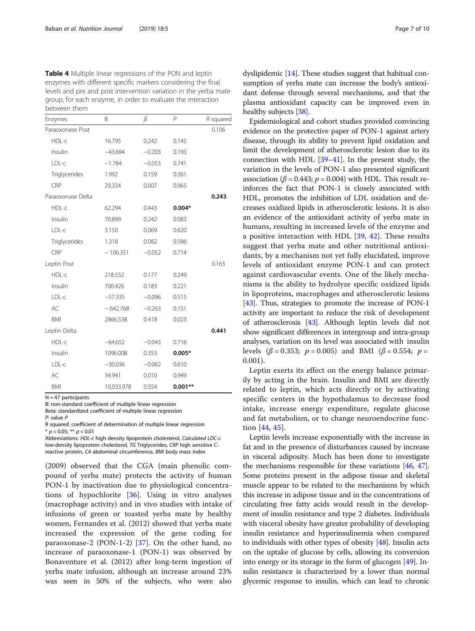<span id="page-6-0"></span>Table 4 Multiple linear regressions of the PON and leptin enzymes with different specific markers considering the final levels and pre and post intervention variation in the yerba mate group, for each enzyme, in order to evaluate the interaction between them

| Enzymes           | B          | β        | $\overline{P}$ | R squared |
|-------------------|------------|----------|----------------|-----------|
| Paraoxonase Post  |            |          |                | 0.106     |
| HDL-c             | 16.795     | 0.242    | 0.145          |           |
| Insulin           | $-43.694$  | $-0.203$ | 0.193          |           |
| LDL-c             | $-1.784$   | $-0.053$ | 0.741          |           |
| Triglycerides     | 1.992      | 0.159    | 0.361          |           |
| CRP               | 29,334     | 0.007    | 0.965          |           |
| Paraoxonase Delta |            |          |                | 0.243     |
| HDL-c             | 62.294     | 0.443    | $0.004*$       |           |
| Insulin           | 70.899     | 0.242    | 0.083          |           |
| LDL-c             | 3.150      | 0.069    | 0.620          |           |
| Triglycerides     | 1.318      | 0.082    | 0.586          |           |
| <b>CRP</b>        | $-106.351$ | $-0.052$ | 0.714          |           |
| Leptin Post       |            |          |                | 0.163     |
| HDL-c             | 218.552    | 0.177    | 0.249          |           |
| Insulin           | 700.426    | 0.183    | 0.221          |           |
| LDL-c             | $-57.335$  | $-0.096$ | 0.515          |           |
| AC                | $-642.768$ | $-0.263$ | 0.151          |           |
| <b>BMI</b>        | 2866.538   | 0.418    | 0.023          |           |
| Leptin Delta      |            |          |                | 0.441     |
| HDL-c             | $-64.652$  | $-0.043$ | 0.716          |           |
| Insulin           | 1096.008   | 0.353    | $0.005*$       |           |
| LDL-c             | $-30.036$  | $-0.062$ | 0.610          |           |
| AC                | 34.941     | 0.010    | 0.949          |           |
| <b>BMI</b>        | 10,033.978 | 0.554    | $0.001**$      |           |

 $N = 47$  participants

B: non-standard coefficient of multiple linear regression

Beta: standardized coefficient of multiple linear regression

P: value P

R squared: coefficient of determination of multiple linear regression \*  $p < 0.05$ ; \*\*  $p < 0.01$ 

Abbreviations: HDL-c high density lipoprotein cholesterol, Calculated LDC-c low-density lipoprotein cholesterol, TG Triglycerides, CRP high sensitive Creactive protein, CA abdominal circumference, BMI body mass index

(2009) observed that the CGA (main phenolic compound of yerba mate) protects the activity of human PON-1 by inactivation due to physiological concentrations of hypochlorite [[36\]](#page-9-0). Using in vitro analyses (macrophage activity) and in vivo studies with intake of infusions of green or toasted yerba mate by healthy women, Fernandes et al. (2012) showed that yerba mate increased the expression of the gene coding for paraoxonase-2 (PON-1-2) [\[37](#page-9-0)]. On the other hand, no increase of paraoxonase-1 (PON-1) was observed by Bonaventure et al. (2012) after long-term ingestion of yerba mate infusion, although an increase around 23% was seen in 50% of the subjects, who were also dyslipidemic [[14](#page-8-0)]. These studies suggest that habitual consumption of yerba mate can increase the body's antioxidant defense through several mechanisms, and that the plasma antioxidant capacity can be improved even in healthy subjects [[38\]](#page-9-0).

Epidemiological and cohort studies provided convincing evidence on the protective paper of PON-1 against artery disease, through its ability to prevent lipid oxidation and limit the development of atherosclerotic lesion due to its connection with HDL [[39](#page-9-0)–[41\]](#page-9-0). In the present study, the variation in the levels of PON-1 also presented significant association ( $\beta$  = 0.443;  $p$  = 0.004) with HDL. This result reinforces the fact that PON-1 is closely associated with HDL, promotes the inhibition of LDL oxidation and decreases oxidized lipids in atherosclerotic lesions. It is also an evidence of the antioxidant activity of yerba mate in humans, resulting in increased levels of the enzyme and a positive interaction with HDL [\[39](#page-9-0), [42](#page-9-0)]. These results suggest that yerba mate and other nutritional antioxidants, by a mechanism not yet fully elucidated, improve levels of antioxidant enzyme PON-1 and can protect against cardiovascular events. One of the likely mechanisms is the ability to hydrolyze specific oxidized lipids in lipoproteins, macrophages and atherosclerotic lesions [[43](#page-9-0)]. Thus, strategies to promote the increase of PON-1 activity are important to reduce the risk of development of atherosclerosis [\[43\]](#page-9-0). Although leptin levels did not show significant differences in intergroup and intra-group analyses, variation on its level was associated with insulin levels (β = 0.353;  $p = 0.005$ ) and BMI (β = 0.554;  $p =$ 0.001).

Leptin exerts its effect on the energy balance primarily by acting in the brain. Insulin and BMI are directly related to leptin, which acts directly or by activating specific centers in the hypothalamus to decrease food intake, increase energy expenditure, regulate glucose and fat metabolism, or to change neuroendocrine function [[44,](#page-9-0) [45\]](#page-9-0).

Leptin levels increase exponentially with the increase in fat and in the presence of disturbances caused by increase in visceral adiposity. Much has been done to investigate the mechanisms responsible for these variations [\[46,](#page-9-0) [47](#page-9-0)]. Some proteins present in the adipose tissue and skeletal muscle appear to be related to the mechanisms by which this increase in adipose tissue and in the concentrations of circulating free fatty acids would result in the development of insulin resistance and type 2 diabetes. Individuals with visceral obesity have greater probability of developing insulin resistance and hyperinsulinemia when compared to individuals with other types of obesity [[48](#page-9-0)]. Insulin acts on the uptake of glucose by cells, allowing its conversion into energy or its storage in the form of glucogen [[49\]](#page-9-0). Insulin resistance is characterized by a lower than normal glycemic response to insulin, which can lead to chronic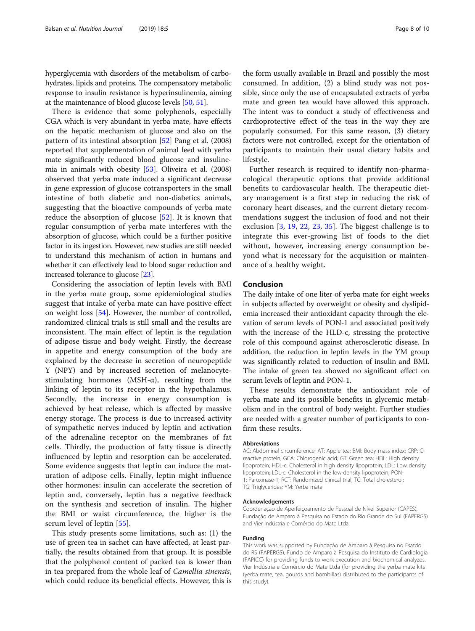hyperglycemia with disorders of the metabolism of carbohydrates, lipids and proteins. The compensatory metabolic response to insulin resistance is hyperinsulinemia, aiming at the maintenance of blood glucose levels [[50](#page-9-0), [51\]](#page-9-0).

There is evidence that some polyphenols, especially CGA which is very abundant in yerba mate, have effects on the hepatic mechanism of glucose and also on the pattern of its intestinal absorption [[52\]](#page-9-0) Pang et al. (2008) reported that supplementation of animal feed with yerba mate significantly reduced blood glucose and insulinemia in animals with obesity [[53\]](#page-9-0). Oliveira et al. (2008) observed that yerba mate induced a significant decrease in gene expression of glucose cotransporters in the small intestine of both diabetic and non-diabetics animals, suggesting that the bioactive compounds of yerba mate reduce the absorption of glucose [[52\]](#page-9-0). It is known that regular consumption of yerba mate interferes with the absorption of glucose, which could be a further positive factor in its ingestion. However, new studies are still needed to understand this mechanism of action in humans and whether it can effectively lead to blood sugar reduction and increased tolerance to glucose [[23](#page-8-0)].

Considering the association of leptin levels with BMI in the yerba mate group, some epidemiological studies suggest that intake of yerba mate can have positive effect on weight loss [\[54\]](#page-9-0). However, the number of controlled, randomized clinical trials is still small and the results are inconsistent. The main effect of leptin is the regulation of adipose tissue and body weight. Firstly, the decrease in appetite and energy consumption of the body are explained by the decrease in secretion of neuropeptide Y (NPY) and by increased secretion of melanocytestimulating hormones ( $MSH-\alpha$ ), resulting from the linking of leptin to its receptor in the hypothalamus. Secondly, the increase in energy consumption is achieved by heat release, which is affected by massive energy storage. The process is due to increased activity of sympathetic nerves induced by leptin and activation of the adrenaline receptor on the membranes of fat cells. Thirdly, the production of fatty tissue is directly influenced by leptin and resorption can be accelerated. Some evidence suggests that leptin can induce the maturation of adipose cells. Finally, leptin might influence other hormones: insulin can accelerate the secretion of leptin and, conversely, leptin has a negative feedback on the synthesis and secretion of insulin. The higher the BMI or waist circumference, the higher is the serum level of leptin [\[55\]](#page-9-0).

This study presents some limitations, such as: (1) the use of green tea in sachet can have affected, at least partially, the results obtained from that group. It is possible that the polyphenol content of packed tea is lower than in tea prepared from the whole leaf of Camellia sinensis, which could reduce its beneficial effects. However, this is

the form usually available in Brazil and possibly the most consumed. In addition, (2) a blind study was not possible, since only the use of encapsulated extracts of yerba mate and green tea would have allowed this approach. The intent was to conduct a study of effectiveness and cardioprotective effect of the teas in the way they are popularly consumed. For this same reason, (3) dietary factors were not controlled, except for the orientation of participants to maintain their usual dietary habits and lifestyle.

Further research is required to identify non-pharmacological therapeutic options that provide additional benefits to cardiovascular health. The therapeutic dietary management is a first step in reducing the risk of coronary heart diseases, and the current dietary recommendations suggest the inclusion of food and not their exclusion [\[3](#page-8-0), [19,](#page-8-0) [22](#page-8-0), [23,](#page-8-0) [35](#page-9-0)]. The biggest challenge is to integrate this ever-growing list of foods to the diet without, however, increasing energy consumption beyond what is necessary for the acquisition or maintenance of a healthy weight.

#### Conclusion

The daily intake of one liter of yerba mate for eight weeks in subjects affected by overweight or obesity and dyslipidemia increased their antioxidant capacity through the elevation of serum levels of PON-1 and associated positively with the increase of the HLD-c, stressing the protective role of this compound against atherosclerotic disease. In addition, the reduction in leptin levels in the YM group was significantly related to reduction of insulin and BMI. The intake of green tea showed no significant effect on serum levels of leptin and PON-1.

These results demonstrate the antioxidant role of yerba mate and its possible benefits in glycemic metabolism and in the control of body weight. Further studies are needed with a greater number of participants to confirm these results.

#### Abbreviations

AC: Abdominal circumference; AT: Apple tea; BMI: Body mass index; CRP: Creactive protein; GCA: Chlorogenic acid; GT: Green tea; HDL: High density lipoprotein; HDL-c: Cholesterol in high density lipoprotein; LDL: Low density lipoprotein; LDL-c: Cholesterol in the low-density lipoprotein; PON-1: Paroxinase-1; RCT: Randomized clinical trial; TC: Total cholesterol; TG: Triglycerides; YM: Yerba mate

#### Acknowledgements

Coordenação de Aperfeiçoamento de Pessoal de Nível Superior (CAPES), Fundação de Amparo à Pesquisa no Estado do Rio Grande do Sul (FAPERGS) and Vier Indústria e Comércio do Mate Ltda.

#### Funding

This work was supported by Fundação de Amparo à Pesquisa no Esatdo do RS (FAPERGS), Fundo de Amparo à Pesquisa do Instituto de Cardiologia (FAPICC) for providing funds to work execution and biochemical analyzes. Vier Indústria e Comércio do Mate Ltda (for providing the yerba mate kits (yerba mate, tea, gourds and bombillas) distributed to the participants of this study).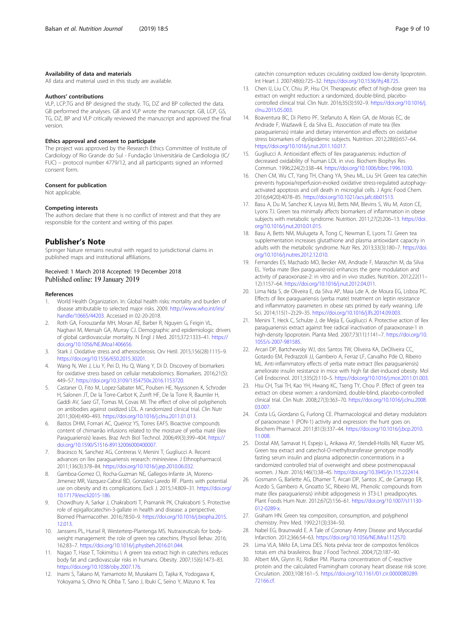#### <span id="page-8-0"></span>Availability of data and materials

All data and material used in this study are available.

#### Authors' contributions

VLP, LCP,TG and BP designed the study. TG, DZ and BP collected the data. GB performed the analyses. GB and VLP wrote the manuscript. GB, LCP, GS, TG, DZ, BP and VLP critically reviewed the manuscript and approved the final version.

#### Ethics approval and consent to participate

The project was approved by the Research Ethics Committee of Institute of Cardiology of Rio Grande do Sul - Fundação Universitária de Cardiologia (IC/ FUC) – protocol number 4779/12, and all participants signed an informed consent form.

#### Consent for publication

Not applicable.

#### Competing interests

The authors declare that there is no conflict of interest and that they are responsible for the content and writing of this paper.

#### Publisher's Note

Springer Nature remains neutral with regard to jurisdictional claims in published maps and institutional affiliations.

#### Received: 1 March 2018 Accepted: 19 December 2018 Published online: 19 January 2019

#### References

- 1. World Health Organization. In: Global health risks: mortality and burden of disease attributable to selected major risks. 2009. [http://www.who.int/iris/](http://www.who.int/iris/handle/10665/44203) [handle/10665/44203](http://www.who.int/iris/handle/10665/44203). Accessed in 02-20-2018.
- 2. Roth GA, Forouzanfar MH, Moran AE, Barber R, Nguyen G, Feigin VL, Naghavi M, Mensah GA, Murray CJ. Demographic and epidemiologic drivers of global cardiovascular mortality. N Engl J Med. 2015;372:1333–41. [https://](https://doi.org/10.1056/NEJMoa1406656) [doi.org/10.1056/NEJMoa1406656.](https://doi.org/10.1056/NEJMoa1406656)
- 3. Stark J. Oxidative stress and atherosclerosis. Orv Hetil. 2015;156(28):1115–9. <https://doi.org/10.1556/650.2015.30201>.
- Wang N, Wei J, Liu Y, Pei D, Hu Q, Wang Y, Di D. Discovery of biomarkers for oxidative stress based on cellular metabolomics. Biomarkers. 2016;21(5): 449–57. [https://doi.org/10.3109/1354750x.2016.1153720.](https://doi.org/10.3109/1354750x.2016.1153720)
- 5. Castaner O, Fito M, Lopez-Sabater MC, Poulsen HE, Nyyssonen K, Schroder H, Salonen JT, De la Torre-Carbot K, Zunft HF, De la Torre R, Baumler H, Gaddi AV, Saez GT, Tomas M, Covas MI. The effect of olive oil polyphenols on antibodies against oxidized LDL. A randomized clinical trial. Clin Nutr 2011;30(4):490–493. <https://doi.org/10.1016/j.clnu.2011.01.013>.
- 6. Bastos DHM, Fornari AC, Queiroz YS, Torres EAFS. Bioactive compounds content of chimarrão infusions related to the moisture of yerba maté (ilex Paraguariensis) leaves. Braz Arch Biol Technol. 2006;49(3):399–404. [https://](https://doi.org/10.1590/S1516-89132006000400007) [doi.org/10.1590/S1516-89132006000400007](https://doi.org/10.1590/S1516-89132006000400007).
- Bracesco N, Sanchez AG, Contreras V, Menini T, Gugliucci A. Recent advances on Ilex paraguariensis research: minireview. J Ethnopharmacol. 2011;136(3):378–84. [https://doi.org/10.1016/j.jep.2010.06.032.](https://doi.org/10.1016/j.jep.2010.06.032)
- Gamboa-Gomez CI, Rocha-Guzman NE, Gallegos-Infante JA, Moreno-Jimenez MR, Vazquez-Cabral BD, Gonzalez-Laredo RF. Plants with potential use on obesity and its complications. Excli J. 2015;14:809–31. [https://doi.org/](https://doi.org/10.17179/excli2015-186) [10.17179/excli2015-186.](https://doi.org/10.17179/excli2015-186)
- 9. Chowdhury A, Sarkar J, Chakraborti T, Pramanik PK, Chakraborti S. Protective role of epigallocatechin-3-gallate in health and disease: a perspective. Biomed Pharmacother. 2016;78:50–9. [https://doi.org/10.1016/j.biopha.2015.](https://doi.org/10.1016/j.biopha.2015.12.013) [12.013.](https://doi.org/10.1016/j.biopha.2015.12.013)
- 10. Janssens PL, Hursel R, Westerterp-Plantenga MS. Nutraceuticals for bodyweight management: the role of green tea catechins. Physiol Behav. 2016; 162:83–7. [https://doi.org/10.1016/j.physbeh.2016.01.044.](https://doi.org/10.1016/j.physbeh.2016.01.044)
- 11. Nagao T, Hase T, Tokimitsu I. A green tea extract high in catechins reduces body fat and cardiovascular risks in humans. Obesity. 2007;15(6):1473–83. [https://doi.org/10.1038/oby.2007.176.](https://doi.org/10.1038/oby.2007.176)
- 12. Inami S, Takano M, Yamamoto M, Murakami D, Tajika K, Yodogawa K, Yokoyama S, Ohno N, Ohba T, Sano J, Ibuki C, Seino Y, Mizuno K. Tea

catechin consumption reduces circulating oxidized low-density lipoprotein. Int Heart J. 2007;48(6):725–32. [https://doi.org/10.1536/ihj.48.725.](https://doi.org/10.1536/ihj.48.725)

- 13. Chen IJ, Liu CY, Chiu JP, Hsu CH. Therapeutic effect of high-dose green tea extract on weight reduction: a randomized, double-blind, placebocontrolled clinical trial. Clin Nutr. 2016;35(3):592–9. [https://doi.org/10.1016/j.](https://doi.org/10.1016/j.clnu.2015.05.003) [clnu.2015.05.003](https://doi.org/10.1016/j.clnu.2015.05.003).
- 14. Boaventura BC, Di Pietro PF, Stefanuto A, Klein GA, de Morais EC, de Andrade F, Wazlawik E, da Silva EL. Association of mate tea (Ilex paraguariensis) intake and dietary intervention and effects on oxidative stress biomarkers of dyslipidemic subjects. Nutrition. 2012;28(6):657–64. [https://doi.org/10.1016/j.nut.2011.10.017.](https://doi.org/10.1016/j.nut.2011.10.017)
- 15. Gugliucci A. Antioxidant effects of Ilex paraguariensis: induction of decreased oxidability of human LDL in vivo. Biochem Biophys Res Commun. 1996;224(2):338–44. <https://doi.org/10.1006/bbrc.1996.1030>.
- 16. Chen CM, Wu CT, Yang TH, Chang YA, Sheu ML, Liu SH. Green tea catechin prevents hypoxia/reperfusion-evoked oxidative stress-regulated autophagyactivated apoptosis and cell death in microglial cells. J Agric Food Chem. 2016;64(20):4078–85. [https://doi.org/10.1021/acs.jafc.6b01513.](https://doi.org/10.1021/acs.jafc.6b01513)
- 17. Basu A, Du M, Sanchez K, Leyva MJ, Betts NM, Blevins S, Wu M, Aston CE, Lyons TJ. Green tea minimally affects biomarkers of inflammation in obese subjects with metabolic syndrome. Nutrition. 2011;27(2):206–13. [https://doi.](https://doi.org/10.1016/j.nut.2010.01.015) [org/10.1016/j.nut.2010.01.015.](https://doi.org/10.1016/j.nut.2010.01.015)
- 18. Basu A, Betts NM, Mulugeta A, Tong C, Newman E, Lyons TJ. Green tea supplementation increases glutathione and plasma antioxidant capacity in adults with the metabolic syndrome. Nutr Res. 2013;33(3):180–7. [https://doi.](https://doi.org/10.1016/j.nutres.2012.12.010) [org/10.1016/j.nutres.2012.12.010.](https://doi.org/10.1016/j.nutres.2012.12.010)
- 19. Fernandes ES, Machado MO, Becker AM, Andrade F, Maraschin M, da Silva EL. Yerba mate (Ilex paraguariensis) enhances the gene modulation and activity of paraoxonase-2: in vitro and in vivo studies. Nutrition. 2012;22(11– 12):1157–64. [https://doi.org/10.1016/j.nut.2012.04.011.](https://doi.org/10.1016/j.nut.2012.04.011)
- 20. Lima Nda S, de Oliveira E, da Silva AP, Maia Lde A, de Moura EG, Lisboa PC. Effects of Ilex paraguariensis (yerba mate) treatment on leptin resistance and inflammatory parameters in obese rats primed by early weaning. Life Sci. 2014;115(1–2):29–35. [https://doi.org/10.1016/j.lfs.2014.09.003.](https://doi.org/10.1016/j.lfs.2014.09.003)
- 21. Menini T, Heck C, Schulze J, de Mejia E, Gugliucci A. Protective action of Ilex paraguariensis extract against free radical inactivation of paraoxonase-1 in high-density lipoprotein. Planta Med. 2007;73(11):1141-7. [https://doi.org/10.](https://doi.org/10.1055/s-2007-981585) [1055/s-2007-981585.](https://doi.org/10.1055/s-2007-981585)
- 22. Arcari DP, Bartchewsky WJ, dos Santos TW, Oliveira KA, DeOliveira CC, Gotardo EM, Pedrazzoli JJ, Gambero A, Ferraz LF, Carvalho Pde O, Ribeiro ML. Anti-inflammatory effects of yerba mate extract (Ilex paraguariensis) ameliorate insulin resistance in mice with high fat diet-induced obesity. Mol Cell Endocrinol. 2011;335(2):110–5. <https://doi.org/10.1016/j.mce.2011.01.003>.
- 23. Hsu CH, Tsai TH, Kao YH, Hwang KC, Tseng TY, Chou P. Effect of green tea extract on obese women: a randomized, double-blind, placebo-controlled clinical trial. Clin Nutr. 2008;27(3):363–70. [https://doi.org/10.1016/j.clnu.2008.](https://doi.org/10.1016/j.clnu.2008.03.007) [03.007](https://doi.org/10.1016/j.clnu.2008.03.007).
- 24. Costa LG, Giordano G, Furlong CE. Pharmacological and dietary modulators of paraoxonase 1 (PON-1) activity and expression: the hunt goes on. Biochem Pharmacol. 2011;81(3):337–44. [https://doi.org/10.1016/j.bcp.2010.](https://doi.org/10.1016/j.bcp.2010.11.008) [11.008](https://doi.org/10.1016/j.bcp.2010.11.008).
- 25. Dostal AM, Samavat H, Espejo L, Arikawa AY, Stendell-Hollis NR, Kurzer MS. Green tea extract and catechol-O-methyltransferase genotype modify fasting serum insulin and plasma adiponectin concentrations in a randomized controlled trial of overweight and obese postmenopausal women. J Nutr. 2016;146(1):38–45. [https://doi.org/10.3945/jn.115.222414.](https://doi.org/10.3945/jn.115.222414)
- 26. Gosmann G, Barlette AG, Dhamer T, Arcari DP, Santos JC, de Camargo ER, Acedo S, Gambero A, Gnoatto SC, Ribeiro ML. Phenolic compounds from mate (Ilex paraguariensis) inhibit adipogenesis in 3T3-L1 preadipocytes. Plant Foods Hum Nutr. 2012;67(2):156–61. [https://doi.org/10.1007/s11130-](https://doi.org/10.1007/s11130-012-0289-x) [012-0289-x.](https://doi.org/10.1007/s11130-012-0289-x)
- 27. Graham HN. Green tea composition, consumption, and polyphenol chemistry. Prev Med. 1992;21(3):334–50.
- 28. Nabel EG, Braunwald E. A Tale of Coronary Artery Disease and Myocardial Infarction. 2012;366:54–63. [https://doi.org/10.1056/NEJMra1112570.](https://doi.org/10.1056/NEJMra1112570)
- 29. Lima VLA, Mélo EA, Lima DES. Nota prévia: teor de compostos fenólicos totais em chá brasileiros. Braz J Food Technol. 2004;7(2):187–90.
- 30. Albert MA, Glynn RJ, Ridker PM. Plasma concentration of C-reactive protein and the calculated Framingham coronary heart disease risk score. Circulation. 2003;108:161–5. [https://doi.org/10.1161/01.cir.0000080289.](https://doi.org/10.1161/01.cir.0000080289.72166.cf) [72166.cf.](https://doi.org/10.1161/01.cir.0000080289.72166.cf)